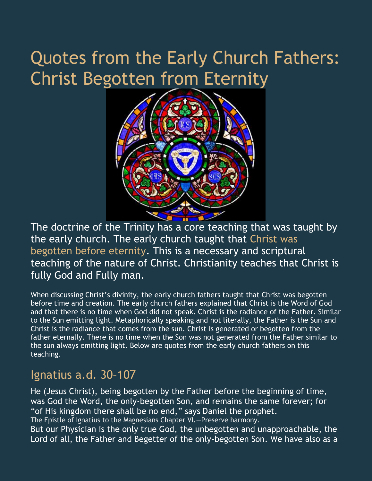# Quotes from the Early Church Fathers: Christ Begotten from Eternity



The doctrine of the Trinity has a core teaching that was taught by the early church. The early church taught that [Christ was](http://apostles-creed.org/confessional-reformed-christian-theology/christology/answers-objections-son-begotten-eternity/)  [begotten before eternity.](http://apostles-creed.org/confessional-reformed-christian-theology/christology/answers-objections-son-begotten-eternity/) This is a necessary and scriptural teaching of the nature of Christ. Christianity teaches that Christ is fully God and Fully man.

When discussing Christ's divinity, the early church fathers taught that Christ was begotten before time and creation. The early church fathers explained that Christ is the Word of God and that there is no time when God did not speak. Christ is the radiance of the Father. Similar to the Sun emitting light. Metaphorically speaking and not literally, the Father is the Sun and Christ is the radiance that comes from the sun. Christ is generated or begotten from the father eternally. There is no time when the Son was not generated from the Father similar to the sun always emitting light. Below are quotes from the early church fathers on this teaching.

### Ignatius a.d. 30–107

He (Jesus Christ), being begotten by the Father before the beginning of time, was God the Word, the only-begotten Son, and remains the same forever; for "of His kingdom there shall be no end," says Daniel the prophet. The Epistle of Ignatius to the Magnesians Chapter VI.—Preserve harmony.

But our Physician is the only true God, the unbegotten and unapproachable, the Lord of all, the Father and Begetter of the only-begotten Son. We have also as a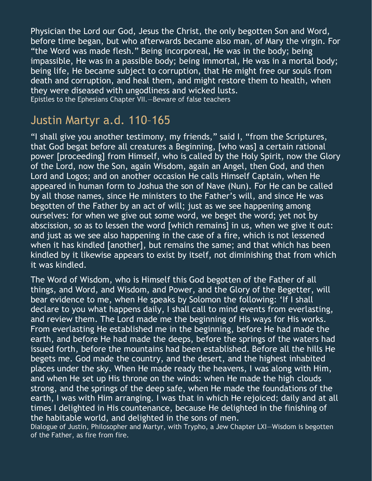Physician the Lord our God, Jesus the Christ, the only begotten Son and Word, before time began, but who afterwards became also man, of Mary the virgin. For "the Word was made flesh." Being incorporeal, He was in the body; being impassible, He was in a passible body; being immortal, He was in a mortal body; being life, He became subject to corruption, that He might free our souls from death and corruption, and heal them, and might restore them to health, when they were diseased with ungodliness and wicked lusts. Epistles to the Ephesians Chapter VII.—Beware of false teachers

#### Justin Martyr a.d. 110–165

"I shall give you another testimony, my friends," said I, "from the Scriptures, that God begat before all creatures a Beginning, [who was] a certain rational power [proceeding] from Himself, who is called by the Holy Spirit, now the Glory of the Lord, now the Son, again Wisdom, again an Angel, then God, and then Lord and Logos; and on another occasion He calls Himself Captain, when He appeared in human form to Joshua the son of Nave (Nun). For He can be called by all those names, since He ministers to the Father's will, and since He was begotten of the Father by an act of will; just as we see happening among ourselves: for when we give out some word, we beget the word; yet not by abscission, so as to lessen the word [which remains] in us, when we give it out: and just as we see also happening in the case of a fire, which is not lessened when it has kindled [another], but remains the same; and that which has been kindled by it likewise appears to exist by itself, not diminishing that from which it was kindled.

The Word of Wisdom, who is Himself this God begotten of the Father of all things, and Word, and Wisdom, and Power, and the Glory of the Begetter, will bear evidence to me, when He speaks by Solomon the following: 'If I shall declare to you what happens daily, I shall call to mind events from everlasting, and review them. The Lord made me the beginning of His ways for His works. From everlasting He established me in the beginning, before He had made the earth, and before He had made the deeps, before the springs of the waters had issued forth, before the mountains had been established. Before all the hills He begets me. God made the country, and the desert, and the highest inhabited places under the sky. When He made ready the heavens, I was along with Him, and when He set up His throne on the winds: when He made the high clouds strong, and the springs of the deep safe, when He made the foundations of the earth, I was with Him arranging. I was that in which He rejoiced; daily and at all times I delighted in His countenance, because He delighted in the finishing of the habitable world, and delighted in the sons of men.

Dialogue of Justin, Philosopher and Martyr, with Trypho, a Jew Chapter LXI—Wisdom is begotten of the Father, as fire from fire.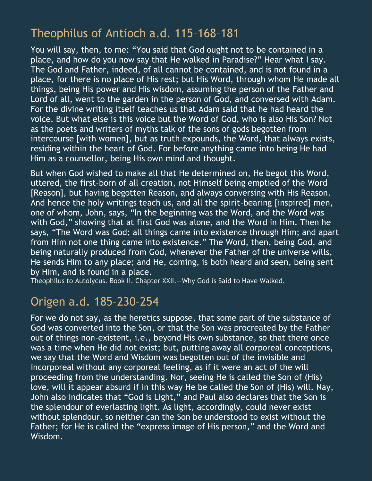## Theophilus of Antioch a.d. 115–168–181

You will say, then, to me: "You said that God ought not to be contained in a place, and how do you now say that He walked in Paradise?" Hear what I say. The God and Father, indeed, of all cannot be contained, and is not found in a place, for there is no place of His rest; but His Word, through whom He made all things, being His power and His wisdom, assuming the person of the Father and Lord of all, went to the garden in the person of God, and conversed with Adam. For the divine writing itself teaches us that Adam said that he had heard the voice. But what else is this voice but the Word of God, who is also His Son? Not as the poets and writers of myths talk of the sons of gods begotten from intercourse [with women], but as truth expounds, the Word, that always exists, residing within the heart of God. For before anything came into being He had Him as a counsellor, being His own mind and thought.

But when God wished to make all that He determined on, He begot this Word, uttered, the first-born of all creation, not Himself being emptied of the Word [Reason], but having begotten Reason, and always conversing with His Reason. And hence the holy writings teach us, and all the spirit-bearing [inspired] men, one of whom, John, says, "In the beginning was the Word, and the Word was with God," showing that at first God was alone, and the Word in Him. Then he says, "The Word was God; all things came into existence through Him; and apart from Him not one thing came into existence." The Word, then, being God, and being naturally produced from God, whenever the Father of the universe wills, He sends Him to any place; and He, coming, is both heard and seen, being sent by Him, and is found in a place.

Theophilus to Autolycus. Book II. Chapter XXII.—Why God is Said to Have Walked.

## Origen a.d. 185–230–254

For we do not say, as the heretics suppose, that some part of the substance of God was converted into the Son, or that the Son was procreated by the Father out of things non-existent, i.e., beyond His own substance, so that there once was a time when He did not exist; but, putting away all corporeal conceptions, we say that the Word and Wisdom was begotten out of the invisible and incorporeal without any corporeal feeling, as if it were an act of the will proceeding from the understanding. Nor, seeing He is called the Son of (His) love, will it appear absurd if in this way He be called the Son of (His) will. Nay, John also indicates that "God is Light," and Paul also declares that the Son is the splendour of everlasting light. As light, accordingly, could never exist without splendour, so neither can the Son be understood to exist without the Father; for He is called the "express image of His person," and the Word and Wisdom.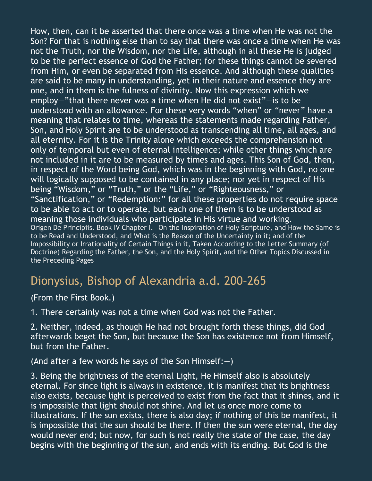How, then, can it be asserted that there once was a time when He was not the Son? For that is nothing else than to say that there was once a time when He was not the Truth, nor the Wisdom, nor the Life, although in all these He is judged to be the perfect essence of God the Father; for these things cannot be severed from Him, or even be separated from His essence. And although these qualities are said to be many in understanding, yet in their nature and essence they are one, and in them is the fulness of divinity. Now this expression which we employ—"that there never was a time when He did not exist"—is to be understood with an allowance. For these very words "when" or "never" have a meaning that relates to time, whereas the statements made regarding Father, Son, and Holy Spirit are to be understood as transcending all time, all ages, and all eternity. For it is the Trinity alone which exceeds the comprehension not only of temporal but even of eternal intelligence; while other things which are not included in it are to be measured by times and ages. This Son of God, then, in respect of the Word being God, which was in the beginning with God, no one will logically supposed to be contained in any place; nor yet in respect of His being "Wisdom," or "Truth," or the "Life," or "Righteousness," or "Sanctification," or "Redemption:" for all these properties do not require space to be able to act or to operate, but each one of them is to be understood as meaning those individuals who participate in His virtue and working. Origen De Principiis. Book IV Chapter I. - On the Inspiration of Holy Scripture, and How the Same is to be Read and Understood, and What is the Reason of the Uncertainty in it; and of the Impossibility or Irrationality of Certain Things in it, Taken According to the Letter Summary (of Doctrine) Regarding the Father, the Son, and the Holy Spirit, and the Other Topics Discussed in the Preceding Pages

### Dionysius, Bishop of Alexandria a.d. 200–265

(From the First Book.)

1. There certainly was not a time when God was not the Father.

2. Neither, indeed, as though He had not brought forth these things, did God afterwards beget the Son, but because the Son has existence not from Himself, but from the Father.

(And after a few words he says of the Son Himself: $-$ )

3. Being the brightness of the eternal Light, He Himself also is absolutely eternal. For since light is always in existence, it is manifest that its brightness also exists, because light is perceived to exist from the fact that it shines, and it is impossible that light should not shine. And let us once more come to illustrations. If the sun exists, there is also day; if nothing of this be manifest, it is impossible that the sun should be there. If then the sun were eternal, the day would never end; but now, for such is not really the state of the case, the day begins with the beginning of the sun, and ends with its ending. But God is the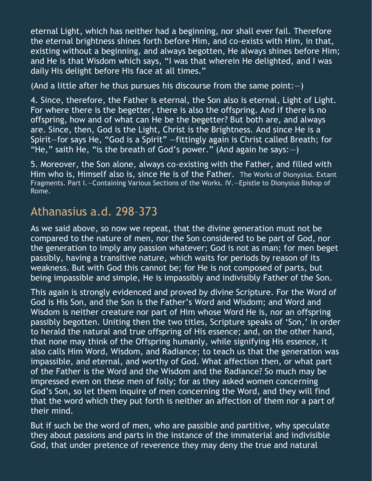eternal Light, which has neither had a beginning, nor shall ever fail. Therefore the eternal brightness shines forth before Him, and co-exists with Him, in that, existing without a beginning, and always begotten, He always shines before Him; and He is that Wisdom which says, "I was that wherein He delighted, and I was daily His delight before His face at all times."

(And a little after he thus pursues his discourse from the same point: $-$ )

4. Since, therefore, the Father is eternal, the Son also is eternal, Light of Light. For where there is the begetter, there is also the offspring. And if there is no offspring, how and of what can He be the begetter? But both are, and always are. Since, then, God is the Light, Christ is the Brightness. And since He is a Spirit—for says He, "God is a Spirit" —fittingly again is Christ called Breath; for "He," saith He, "is the breath of God's power." (And again he says: $-$ )

5. Moreover, the Son alone, always co-existing with the Father, and filled with Him who is, Himself also is, since He is of the Father. The Works of Dionysius. Extant Fragments. Part I.—Containing Various Sections of the Works. IV.—Epistle to Dionysius Bishop of Rome.

## Athanasius a.d. 298–373

As we said above, so now we repeat, that the divine generation must not be compared to the nature of men, nor the Son considered to be part of God, nor the generation to imply any passion whatever; God is not as man; for men beget passibly, having a transitive nature, which waits for periods by reason of its weakness. But with God this cannot be; for He is not composed of parts, but being impassible and simple, He is impassibly and indivisibly Father of the Son.

This again is strongly evidenced and proved by divine Scripture. For the Word of God is His Son, and the Son is the Father's Word and Wisdom; and Word and Wisdom is neither creature nor part of Him whose Word He is, nor an offspring passibly begotten. Uniting then the two titles, Scripture speaks of 'Son,' in order to herald the natural and true offspring of His essence; and, on the other hand, that none may think of the Offspring humanly, while signifying His essence, it also calls Him Word, Wisdom, and Radiance; to teach us that the generation was impassible, and eternal, and worthy of God. What affection then, or what part of the Father is the Word and the Wisdom and the Radiance? So much may be impressed even on these men of folly; for as they asked women concerning God's Son, so let them inquire of men concerning the Word, and they will find that the word which they put forth is neither an affection of them nor a part of their mind.

But if such be the word of men, who are passible and partitive, why speculate they about passions and parts in the instance of the immaterial and indivisible God, that under pretence of reverence they may deny the true and natural